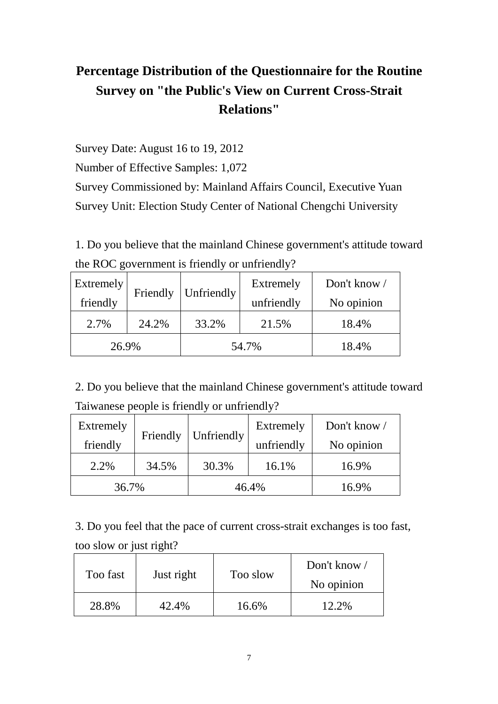## **Percentage Distribution of the Questionnaire for the Routine Survey on "the Public's View on Current Cross-Strait Relations"**

Survey Date: August 16 to 19, 2012

Number of Effective Samples: 1,072

Survey Commissioned by: Mainland Affairs Council, Executive Yuan Survey Unit: Election Study Center of National Chengchi University

1. Do you believe that the mainland Chinese government's attitude toward the ROC government is friendly or unfriendly?

| Extremely |          |            | Extremely  | Don't know / |
|-----------|----------|------------|------------|--------------|
| friendly  | Friendly | Unfriendly | unfriendly | No opinion   |
| 2.7%      | 24.2%    | 33.2%      | 21.5%      | 18.4%        |
| 26.9%     |          | 54.7%      |            | 18.4%        |

2. Do you believe that the mainland Chinese government's attitude toward Taiwanese people is friendly or unfriendly?

| Extremely |          | Unfriendly | Extremely  | Don't know |
|-----------|----------|------------|------------|------------|
| friendly  | Friendly |            | unfriendly | No opinion |
| 2.2%      | 34.5%    | 30.3%      | 16.1%      | 16.9%      |
| 36.7%     |          | 46.4%      |            | 16.9%      |

3. Do you feel that the pace of current cross-strait exchanges is too fast, too slow or just right?

| Too fast | Just right | Too slow | Don't know<br>No opinion |
|----------|------------|----------|--------------------------|
| 28.8%    | 42.4%      | 16.6%    | 12.2%                    |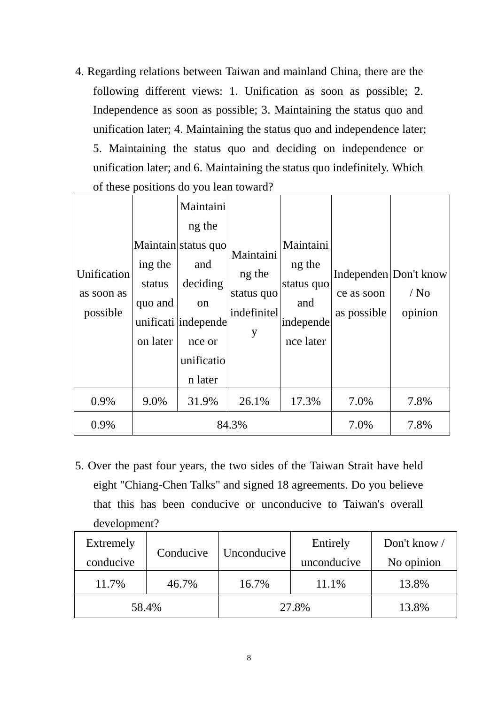4. Regarding relations between Taiwan and mainland China, there are the following different views: 1. Unification as soon as possible; 2. Independence as soon as possible; 3. Maintaining the status quo and unification later; 4. Maintaining the status quo and independence later; 5. Maintaining the status quo and deciding on independence or unification later; and 6. Maintaining the status quo indefinitely. Which of these positions do you lean toward?

| Unification<br>as soon as<br>possible | ing the<br>status<br>quo and<br>on later | Maintaini<br>ng the<br>Maintain status quo<br>and<br>deciding<br>on<br>unificati independe<br>nce or<br>unificatio<br>n later | Maintaini<br>ng the<br>status quo<br>indefinitel<br>y | Maintaini<br>ng the<br>status quo<br>and<br>independe<br>nce later | ce as soon<br>as possible | Independen Don't know<br>$/$ No<br>opinion |
|---------------------------------------|------------------------------------------|-------------------------------------------------------------------------------------------------------------------------------|-------------------------------------------------------|--------------------------------------------------------------------|---------------------------|--------------------------------------------|
| 0.9%                                  | 9.0%                                     | 31.9%                                                                                                                         | 26.1%                                                 | 17.3%                                                              | 7.0%                      | 7.8%                                       |
| 0.9%                                  | 84.3%                                    |                                                                                                                               |                                                       |                                                                    | 7.0%                      | 7.8%                                       |

5. Over the past four years, the two sides of the Taiwan Strait have held eight "Chiang-Chen Talks" and signed 18 agreements. Do you believe that this has been conducive or unconducive to Taiwan's overall development?

| Extremely | Conducive | Unconducive | Entirely    | Don't know / |
|-----------|-----------|-------------|-------------|--------------|
| conducive |           |             | unconducive | No opinion   |
| 11.7%     | 46.7%     | 16.7%       | 11.1%       | 13.8%        |
| 58.4%     |           | 27.8%       |             | 13.8%        |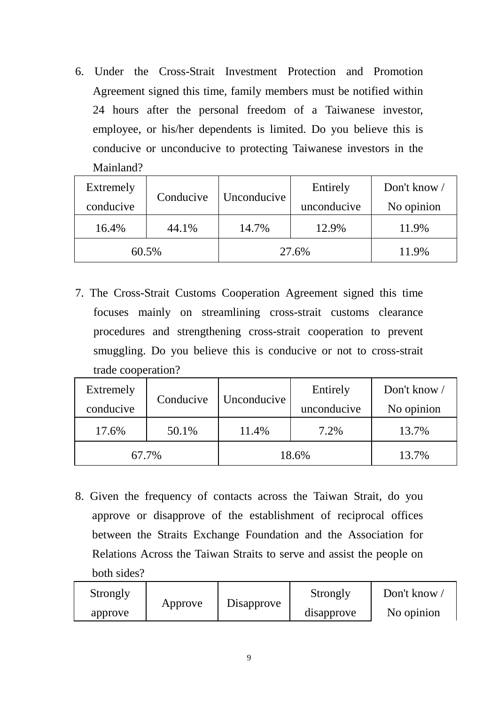6. Under the Cross-Strait Investment Protection and Promotion Agreement signed this time, family members must be notified within 24 hours after the personal freedom of a Taiwanese investor, employee, or his/her dependents is limited. Do you believe this is conducive or unconducive to protecting Taiwanese investors in the Mainland?

| Extremely | Conducive | Unconducive | Entirely    | Don't know / |
|-----------|-----------|-------------|-------------|--------------|
| conducive |           |             | unconducive | No opinion   |
| 16.4%     | 44.1%     | 14.7%       | 12.9%       | 11.9%        |
| 60.5%     |           | 27.6%       |             | 11.9%        |

7. The Cross-Strait Customs Cooperation Agreement signed this time focuses mainly on streamlining cross-strait customs clearance procedures and strengthening cross-strait cooperation to prevent smuggling. Do you believe this is conducive or not to cross-strait trade cooperation?

| Extremely | Conducive | Unconducive | Entirely    | Don't know / |
|-----------|-----------|-------------|-------------|--------------|
| conducive |           |             | unconducive | No opinion   |
| 17.6%     | 50.1%     | 11.4%       | 7.2%        | 13.7%        |
| 67.7%     |           | 18.6%       |             | 13.7%        |

8. Given the frequency of contacts across the Taiwan Strait, do you approve or disapprove of the establishment of reciprocal offices between the Straits Exchange Foundation and the Association for Relations Across the Taiwan Straits to serve and assist the people on both sides?

| Strongly |         |            | Strongly   | Don't know |
|----------|---------|------------|------------|------------|
| approve  | Approve | Disapprove | disapprove | No opinion |